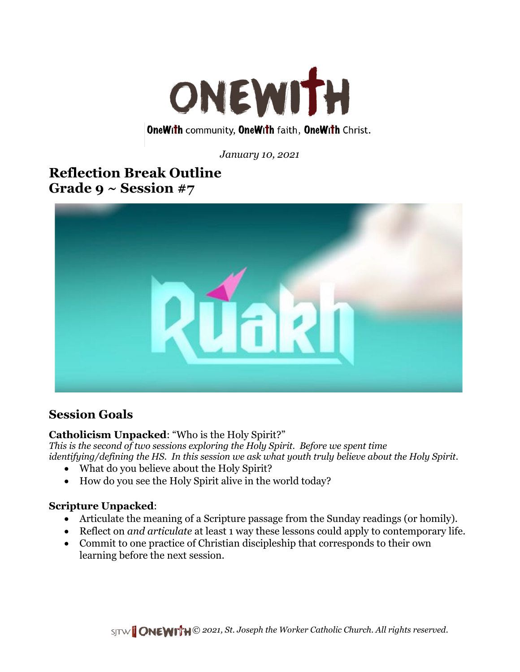

**OneWith community, OneWith faith, OneWith Christ.** 

*January 10, 2021*

## **Reflection Break Outline Grade 9 ~ Session #7**



## **Session Goals**

### **Catholicism Unpacked**: "Who is the Holy Spirit?"

*This is the second of two sessions exploring the Holy Spirit. Before we spent time identifying/defining the HS. In this session we ask what youth truly believe about the Holy Spirit.*

- What do you believe about the Holy Spirit?
- How do you see the Holy Spirit alive in the world today?

### **Scripture Unpacked**:

- Articulate the meaning of a Scripture passage from the Sunday readings (or homily).
- Reflect on *and articulate* at least 1 way these lessons could apply to contemporary life.
- Commit to one practice of Christian discipleship that corresponds to their own learning before the next session.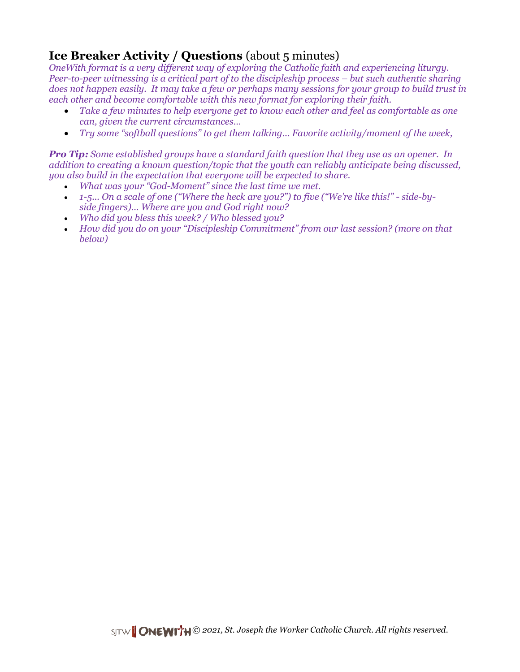## **Ice Breaker Activity / Questions** (about 5 minutes)

*OneWith format is a very different way of exploring the Catholic faith and experiencing liturgy. Peer-to-peer witnessing is a critical part of to the discipleship process – but such authentic sharing does not happen easily. It may take a few or perhaps many sessions for your group to build trust in each other and become comfortable with this new format for exploring their faith.*

- *Take a few minutes to help everyone get to know each other and feel as comfortable as one can, given the current circumstances…*
- *Try some "softball questions" to get them talking... Favorite activity/moment of the week,*

*Pro Tip: Some established groups have a standard faith question that they use as an opener. In addition to creating a known question/topic that the youth can reliably anticipate being discussed, you also build in the expectation that everyone will be expected to share.*

- *What was your "God-Moment" since the last time we met.*
- 1-5... On a scale of one ("Where the heck are you?") to five ("We're like this!" side-by*side fingers)… Where are you and God right now?*
- *Who did you bless this week? / Who blessed you?*
- *How did you do on your "Discipleship Commitment" from our last session? (more on that below)*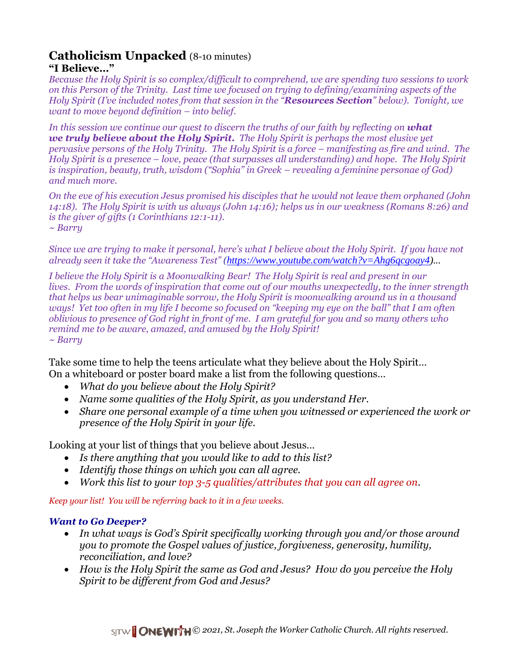# **Catholicism Unpacked** (8-10 minutes)

### **"I Believe…"**

*Because the Holy Spirit is so complex/difficult to comprehend, we are spending two sessions to work on this Person of the Trinity. Last time we focused on trying to defining/examining aspects of the Holy Spirit (I've included notes from that session in the "Resources Section" below). Tonight, we want to move beyond definition – into belief.*

*In this session we continue our quest to discern the truths of our faith by reflecting on what we truly believe about the Holy Spirit. The Holy Spirit is perhaps the most elusive yet pervasive persons of the Holy Trinity. The Holy Spirit is a force – manifesting as fire and wind. The Holy Spirit is a presence – love, peace (that surpasses all understanding) and hope. The Holy Spirit is inspiration, beauty, truth, wisdom ("Sophia" in Greek – revealing a feminine personae of God) and much more.*

*On the eve of his execution Jesus promised his disciples that he would not leave them orphaned (John 14:18). The Holy Spirit is with us always (John 14:16); helps us in our weakness (Romans 8:26) and is the giver of gifts (1 Corinthians 12:1-11). ~ Barry*

*Since we are trying to make it personal, here's what I believe about the Holy Spirit. If you have not already seen it take the "Awareness Test" ([https://www.youtube.com/watch?v=Ahg6qcgoay4\)](https://www.youtube.com/watch?v=Ahg6qcgoay4)...*

*I believe the Holy Spirit is a Moonwalking Bear! The Holy Spirit is real and present in our lives. From the words of inspiration that come out of our mouths unexpectedly, to the inner strength that helps us bear unimaginable sorrow, the Holy Spirit is moonwalking around us in a thousand ways! Yet too often in my life I become so focused on "keeping my eye on the ball" that I am often oblivious to presence of God right in front of me. I am grateful for you and so many others who remind me to be aware, amazed, and amused by the Holy Spirit! ~ Barry*

Take some time to help the teens articulate what they believe about the Holy Spirit… On a whiteboard or poster board make a list from the following questions…

- *What do you believe about the Holy Spirit?*
- *Name some qualities of the Holy Spirit, as you understand Her.*
- *Share one personal example of a time when you witnessed or experienced the work or presence of the Holy Spirit in your life.*

Looking at your list of things that you believe about Jesus…

- *Is there anything that you would like to add to this list?*
- *Identify those things on which you can all agree.*
- *Work this list to your top 3-5 qualities/attributes that you can all agree on.*

*Keep your list! You will be referring back to it in a few weeks.*

### *Want to Go Deeper?*

- *In what ways is God's Spirit specifically working through you and/or those around you to promote the Gospel values of justice, forgiveness, generosity, humility, reconciliation, and love?*
- *How is the Holy Spirit the same as God and Jesus? How do you perceive the Holy Spirit to be different from God and Jesus?*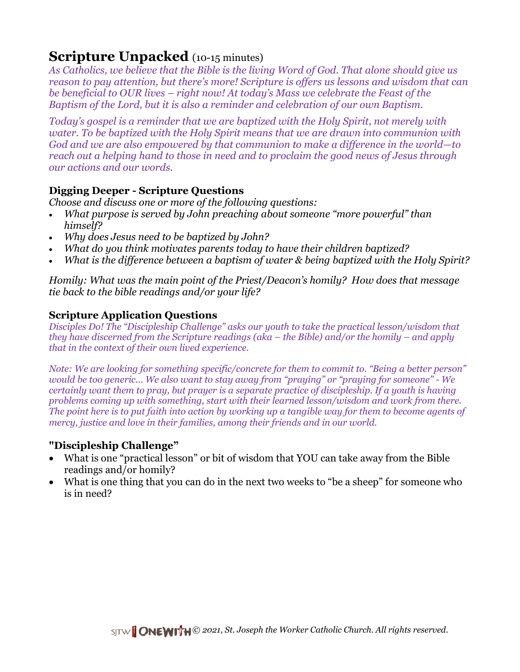# **Scripture Unpacked** (10-15 minutes)

*As Catholics, we believe that the Bible is the living Word of God. That alone should give us reason to pay attention, but there's more! Scripture is offers us lessons and wisdom that can be beneficial to OUR lives – right now! At today's Mass we celebrate the Feast of the Baptism of the Lord, but it is also a reminder and celebration of our own Baptism.* 

*Today's gospel is a reminder that we are baptized with the Holy Spirit, not merely with water. To be baptized with the Holy Spirit means that we are drawn into communion with God and we are also empowered by that communion to make a difference in the world—to reach out a helping hand to those in need and to proclaim the good news of Jesus through our actions and our words.* 

### **Digging Deeper - Scripture Questions**

*Choose and discuss one or more of the following questions:* 

- *What purpose is served by John preaching about someone "more powerful" than himself?*
- *Why does Jesus need to be baptized by John?*
- *What do you think motivates parents today to have their children baptized?*
- *What is the difference between a baptism of water & being baptized with the Holy Spirit?*

*Homily: What was the main point of the Priest/Deacon's homily? How does that message tie back to the bible readings and/or your life?*

### **Scripture Application Questions**

*Disciples Do! The "Discipleship Challenge" asks our youth to take the practical lesson/wisdom that they have discerned from the Scripture readings (aka – the Bible) and/or the homily – and apply that in the context of their own lived experience.*

*Note: We are looking for something specific/concrete for them to commit to. "Being a better person" would be too generic... We also want to stay away from "praying" or "praying for someone" - We certainly want them to pray, but prayer is a separate practice of discipleship. If a youth is having problems coming up with something, start with their learned lesson/wisdom and work from there. The point here is to put faith into action by working up a tangible way for them to become agents of mercy, justice and love in their families, among their friends and in our world.*

### **"Discipleship Challenge"**

- What is one "practical lesson" or bit of wisdom that YOU can take away from the Bible readings and/or homily?
- What is one thing that you can do in the next two weeks to "be a sheep" for someone who is in need?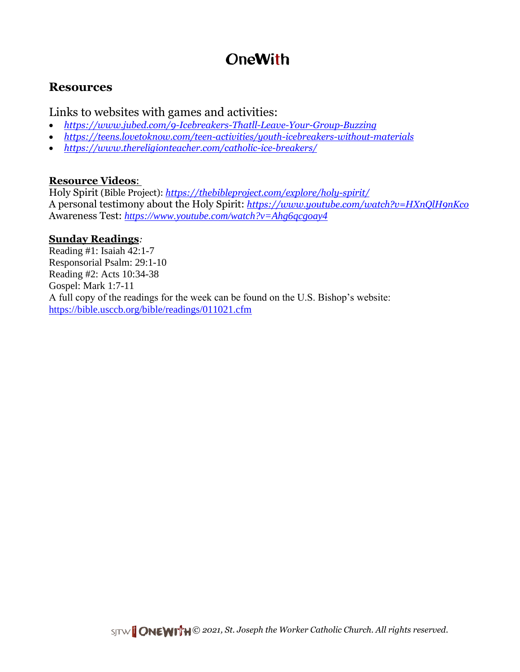# **OneWith**

## **Resources**

Links to websites with games and activities:

- *<https://www.jubed.com/9-Icebreakers-Thatll-Leave-Your-Group-Buzzing>*
- *<https://teens.lovetoknow.com/teen-activities/youth-icebreakers-without-materials>*
- *<https://www.thereligionteacher.com/catholic-ice-breakers/>*

### **Resource Videos**:

Holy Spirit (Bible Project): *<https://thebibleproject.com/explore/holy-spirit/>* A personal testimony about the Holy Spirit: *<https://www.youtube.com/watch?v=HXnQlH9nKco>* Awareness Test: *<https://www.youtube.com/watch?v=Ahg6qcgoay4>*

### **Sunday Readings***:*

Reading #1: Isaiah 42:1-7 Responsorial Psalm: 29:1-10 Reading #2: Acts 10:34-38 Gospel: Mark 1:7-11 A full copy of the readings for the week can be found on the U.S. Bishop's website: <https://bible.usccb.org/bible/readings/011021.cfm>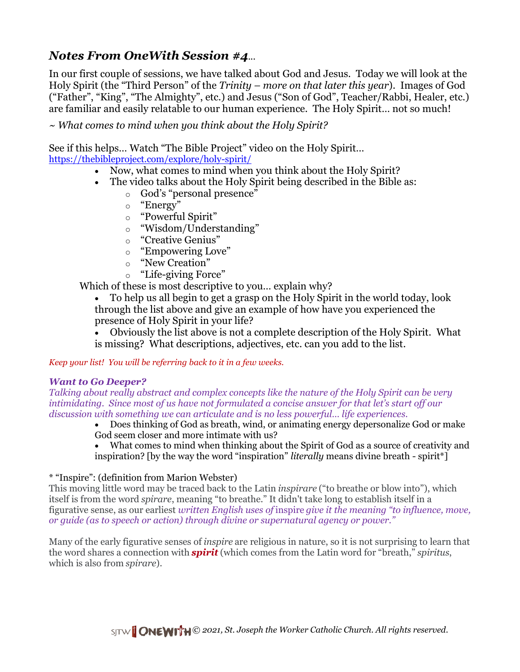## *Notes From OneWith Session #4...*

In our first couple of sessions, we have talked about God and Jesus. Today we will look at the Holy Spirit (the "Third Person" of the *Trinity – more on that later this year*). Images of God ("Father", "King", "The Almighty", etc.) and Jesus ("Son of God", Teacher/Rabbi, Healer, etc.) are familiar and easily relatable to our human experience. The Holy Spirit… not so much!

*~ What comes to mind when you think about the Holy Spirit?*

See if this helps… Watch "The Bible Project" video on the Holy Spirit… <https://thebibleproject.com/explore/holy-spirit/>

- Now, what comes to mind when you think about the Holy Spirit?
- The video talks about the Holy Spirit being described in the Bible as:
	- o God's "personal presence"
	- o "Energy"
	- o "Powerful Spirit"
	- o "Wisdom/Understanding"
	- o "Creative Genius"
	- o "Empowering Love"
	- o "New Creation"
	- o "Life-giving Force"

Which of these is most descriptive to you... explain why?

• To help us all begin to get a grasp on the Holy Spirit in the world today, look through the list above and give an example of how have you experienced the presence of Holy Spirit in your life?

• Obviously the list above is not a complete description of the Holy Spirit. What is missing? What descriptions, adjectives, etc. can you add to the list.

*Keep your list! You will be referring back to it in a few weeks.*

#### *Want to Go Deeper?*

*Talking about really abstract and complex concepts like the nature of the Holy Spirit can be very intimidating. Since most of us have not formulated a concise answer for that let's start off our discussion with something we can articulate and is no less powerful… life experiences.*

• Does thinking of God as breath, wind, or animating energy depersonalize God or make God seem closer and more intimate with us?

• What comes to mind when thinking about the Spirit of God as a source of creativity and inspiration? [by the way the word "inspiration" *literally* means divine breath - spirit\*]

### \* "Inspire": (definition from Marion Webster)

This moving little word may be traced back to the Latin *inspirare* ("to breathe or blow into"), which itself is from the word *spirare*, meaning "to breathe." It didn't take long to establish itself in a figurative sense, as our earliest *written English uses of* inspire *give it the meaning "to influence, move, or guide (as to speech or action) through divine or supernatural agency or power."*

Many of the early figurative senses of *inspire* are religious in nature, so it is not surprising to learn that the word shares a connection with *[spirit](https://www.merriam-webster.com/dictionary/spirit)* (which comes from the Latin word for "breath," *spiritus*, which is also from *spirare*).